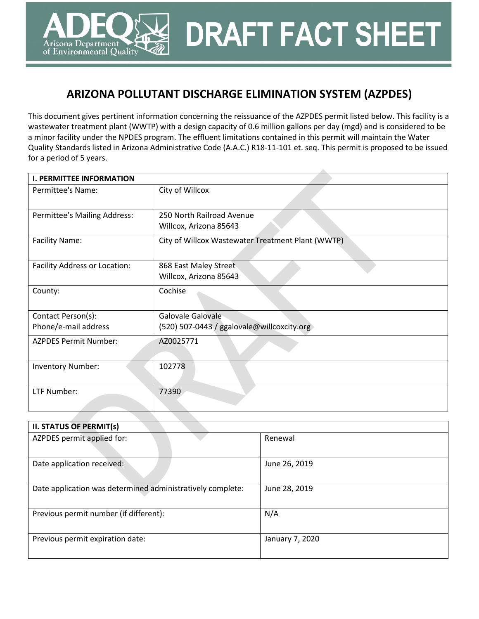# **ARIZONA POLLUTANT DISCHARGE ELIMINATION SYSTEM (AZPDES)**

Arizona Department of Environmental Quality **DRAFT FACT SHEET**

 $\overline{\phantom{a}}$ 

This document gives pertinent information concerning the reissuance of the AZPDES permit listed below. This facility is a wastewater treatment plant (WWTP) with a design capacity of 0.6 million gallons per day (mgd) and is considered to be a minor facility under the NPDES program. The effluent limitations contained in this permit will maintain the Water Quality Standards listed in Arizona Administrative Code (A.A.C.) R18-11-101 et. seq. This permit is proposed to be issued for a period of 5 years.

| <b>I. PERMITTEE INFORMATION</b> |                                                     |  |  |  |  |  |
|---------------------------------|-----------------------------------------------------|--|--|--|--|--|
| Permittee's Name:               | City of Willcox                                     |  |  |  |  |  |
| Permittee's Mailing Address:    | 250 North Railroad Avenue<br>Willcox, Arizona 85643 |  |  |  |  |  |
| <b>Facility Name:</b>           | City of Willcox Wastewater Treatment Plant (WWTP)   |  |  |  |  |  |
| Facility Address or Location:   | 868 East Maley Street<br>Willcox, Arizona 85643     |  |  |  |  |  |
| County:                         | Cochise                                             |  |  |  |  |  |
| Contact Person(s):              | Galovale Galovale                                   |  |  |  |  |  |
| Phone/e-mail address            | (520) 507-0443 / ggalovale@willcoxcity.org          |  |  |  |  |  |
| <b>AZPDES Permit Number:</b>    | AZ0025771                                           |  |  |  |  |  |
| <b>Inventory Number:</b>        | 102778                                              |  |  |  |  |  |
| LTF Number:                     | 77390                                               |  |  |  |  |  |

| <b>II. STATUS OF PERMIT(s)</b>                             |                 |
|------------------------------------------------------------|-----------------|
| AZPDES permit applied for:                                 | Renewal         |
| Date application received:                                 | June 26, 2019   |
| Date application was determined administratively complete: | June 28, 2019   |
| Previous permit number (if different):                     | N/A             |
| Previous permit expiration date:                           | January 7, 2020 |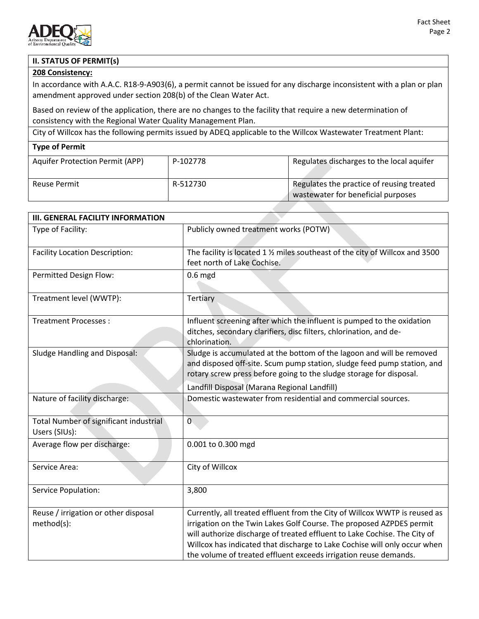

# **II. STATUS OF PERMIT(s)**

## **208 Consistency:**

In accordance with A.A.C. R18-9-A903(6), a permit cannot be issued for any discharge inconsistent with a plan or plan amendment approved under section 208(b) of the Clean Water Act.

Based on review of the application, there are no changes to the facility that require a new determination of consistency with the Regional Water Quality Management Plan.

City of Willcox has the following permits issued by ADEQ applicable to the Willcox Wastewater Treatment Plant:

#### **Type of Permit**

| <b>Aquifer Protection Permit (APP)</b> | P-102778 | Regulates discharges to the local aquifer                                       |
|----------------------------------------|----------|---------------------------------------------------------------------------------|
| <b>Reuse Permit</b>                    | R-512730 | Regulates the practice of reusing treated<br>wastewater for beneficial purposes |

| <b>III. GENERAL FACILITY INFORMATION</b>                |                                                                                                                                                                                                                                                                                                                                                                                  |
|---------------------------------------------------------|----------------------------------------------------------------------------------------------------------------------------------------------------------------------------------------------------------------------------------------------------------------------------------------------------------------------------------------------------------------------------------|
| Type of Facility:                                       | Publicly owned treatment works (POTW)                                                                                                                                                                                                                                                                                                                                            |
| <b>Facility Location Description:</b>                   | The facility is located 1 % miles southeast of the city of Willcox and 3500<br>feet north of Lake Cochise.                                                                                                                                                                                                                                                                       |
| Permitted Design Flow:                                  | $0.6$ mgd                                                                                                                                                                                                                                                                                                                                                                        |
| Treatment level (WWTP):                                 | Tertiary                                                                                                                                                                                                                                                                                                                                                                         |
| <b>Treatment Processes:</b>                             | Influent screening after which the influent is pumped to the oxidation<br>ditches, secondary clarifiers, disc filters, chlorination, and de-<br>chlorination.                                                                                                                                                                                                                    |
| Sludge Handling and Disposal:                           | Sludge is accumulated at the bottom of the lagoon and will be removed<br>and disposed off-site. Scum pump station, sludge feed pump station, and<br>rotary screw press before going to the sludge storage for disposal.                                                                                                                                                          |
|                                                         | Landfill Disposal (Marana Regional Landfill)                                                                                                                                                                                                                                                                                                                                     |
| Nature of facility discharge:                           | Domestic wastewater from residential and commercial sources.                                                                                                                                                                                                                                                                                                                     |
| Total Number of significant industrial<br>Users (SIUs): | $\overline{0}$                                                                                                                                                                                                                                                                                                                                                                   |
| Average flow per discharge:                             | 0.001 to 0.300 mgd                                                                                                                                                                                                                                                                                                                                                               |
| Service Area:                                           | City of Willcox                                                                                                                                                                                                                                                                                                                                                                  |
| <b>Service Population:</b>                              | 3,800                                                                                                                                                                                                                                                                                                                                                                            |
| Reuse / irrigation or other disposal<br>method(s):      | Currently, all treated effluent from the City of Willcox WWTP is reused as<br>irrigation on the Twin Lakes Golf Course. The proposed AZPDES permit<br>will authorize discharge of treated effluent to Lake Cochise. The City of<br>Willcox has indicated that discharge to Lake Cochise will only occur when<br>the volume of treated effluent exceeds irrigation reuse demands. |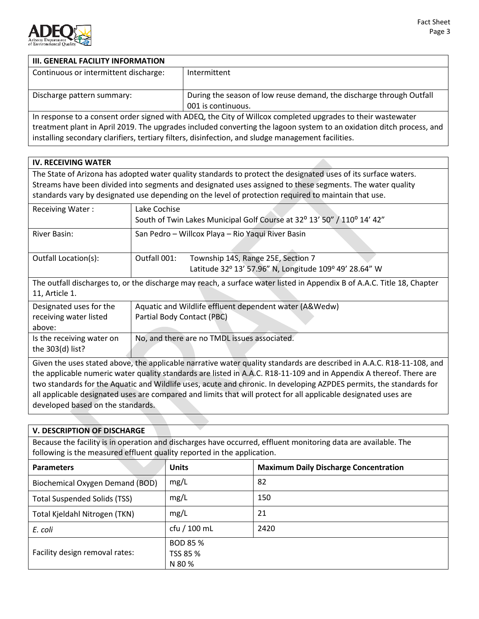

# **III. GENERAL FACILITY INFORMATION** Continuous or intermittent discharge: | Intermittent Discharge pattern summary: **During the season of low reuse demand, the discharge through Outfall** 001 is continuous. In response to a consent order signed with ADEQ, the City of Willcox completed upgrades to their wastewater

treatment plant in April 2019. The upgrades included converting the lagoon system to an oxidation ditch process, and installing secondary clarifiers, tertiary filters, disinfection, and sludge management facilities.

# **IV. RECEIVING WATER**

The State of Arizona has adopted water quality standards to protect the designated uses of its surface waters. Streams have been divided into segments and designated uses assigned to these segments. The water quality standards vary by designated use depending on the level of protection required to maintain that use.

| <b>Receiving Water:</b>   | Lake Cochise                                                                                                            |  |  |  |  |  |  |
|---------------------------|-------------------------------------------------------------------------------------------------------------------------|--|--|--|--|--|--|
|                           | South of Twin Lakes Municipal Golf Course at 32° 13' 50" / 110° 14' 42"                                                 |  |  |  |  |  |  |
| River Basin:              | San Pedro - Willcox Playa - Rio Yaqui River Basin                                                                       |  |  |  |  |  |  |
|                           |                                                                                                                         |  |  |  |  |  |  |
| Outfall Location(s):      | Outfall 001:<br>Township 14S, Range 25E, Section 7                                                                      |  |  |  |  |  |  |
|                           | Latitude 32° 13' 57.96" N, Longitude 109° 49' 28.64" W                                                                  |  |  |  |  |  |  |
|                           | The outfall discharges to, or the discharge may reach, a surface water listed in Appendix B of A.A.C. Title 18, Chapter |  |  |  |  |  |  |
| 11, Article 1.            |                                                                                                                         |  |  |  |  |  |  |
| Designated uses for the   | Aquatic and Wildlife effluent dependent water (A&Wedw)                                                                  |  |  |  |  |  |  |
| receiving water listed    | Partial Body Contact (PBC)                                                                                              |  |  |  |  |  |  |
| above:                    |                                                                                                                         |  |  |  |  |  |  |
| Is the receiving water on | No, and there are no TMDL issues associated.                                                                            |  |  |  |  |  |  |
| the $303(d)$ list?        |                                                                                                                         |  |  |  |  |  |  |
|                           | Given the uses stated above, the applicable narrative water quality standards are described in A.A.C. R18-11-108, and   |  |  |  |  |  |  |

Given the uses stated above, the applicable narrative water quality standards are described in A.A.C. R18-11-108, and the applicable numeric water quality standards are listed in A.A.C. R18-11-109 and in Appendix A thereof. There are two standards for the Aquatic and Wildlife uses, acute and chronic. In developing AZPDES permits, the standards for all applicable designated uses are compared and limits that will protect for all applicable designated uses are developed based on the standards.

# **V. DESCRIPTION OF DISCHARGE**

Because the facility is in operation and discharges have occurred, effluent monitoring data are available. The following is the measured effluent quality reported in the application.

| <b>Parameters</b>                   | <b>Units</b> | <b>Maximum Daily Discharge Concentration</b> |
|-------------------------------------|--------------|----------------------------------------------|
| Biochemical Oxygen Demand (BOD)     | mg/L         | 82                                           |
| <b>Total Suspended Solids (TSS)</b> | mg/L         | 150                                          |
| Total Kjeldahl Nitrogen (TKN)       | mg/L         | 21                                           |
| E. coli                             | cfu / 100 mL | 2420                                         |
|                                     | BOD 85 %     |                                              |
| Facility design removal rates:      | TSS 85 %     |                                              |
|                                     | N 80 %       |                                              |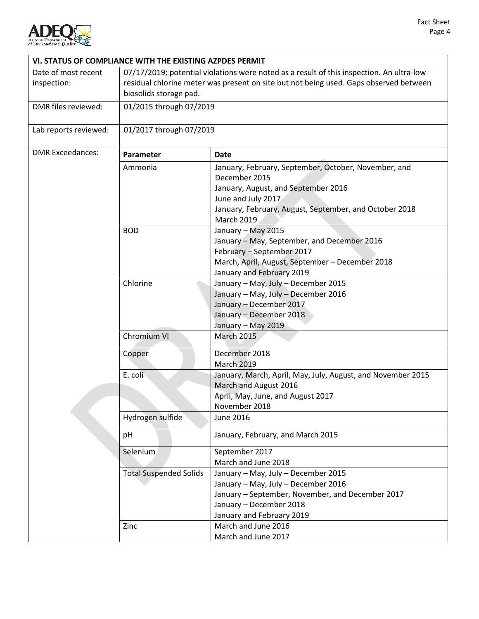

|                                    | VI. STATUS OF COMPLIANCE WITH THE EXISTING AZPDES PERMIT                                                                                                                                                    |                                                                                                                                                                                        |  |  |  |  |
|------------------------------------|-------------------------------------------------------------------------------------------------------------------------------------------------------------------------------------------------------------|----------------------------------------------------------------------------------------------------------------------------------------------------------------------------------------|--|--|--|--|
| Date of most recent<br>inspection: | 07/17/2019; potential violations were noted as a result of this inspection. An ultra-low<br>residual chlorine meter was present on site but not being used. Gaps observed between<br>biosolids storage pad. |                                                                                                                                                                                        |  |  |  |  |
| DMR files reviewed:                | 01/2015 through 07/2019                                                                                                                                                                                     |                                                                                                                                                                                        |  |  |  |  |
| Lab reports reviewed:              | 01/2017 through 07/2019                                                                                                                                                                                     |                                                                                                                                                                                        |  |  |  |  |
| <b>DMR Exceedances:</b>            | Parameter                                                                                                                                                                                                   | <b>Date</b>                                                                                                                                                                            |  |  |  |  |
|                                    | Ammonia                                                                                                                                                                                                     | January, February, September, October, November, and<br>December 2015                                                                                                                  |  |  |  |  |
|                                    |                                                                                                                                                                                                             | January, August, and September 2016<br>June and July 2017                                                                                                                              |  |  |  |  |
|                                    |                                                                                                                                                                                                             | January, February, August, September, and October 2018<br><b>March 2019</b>                                                                                                            |  |  |  |  |
|                                    | <b>BOD</b>                                                                                                                                                                                                  | January - May 2015<br>January - May, September, and December 2016<br>February - September 2017<br>March, April, August, September - December 2018<br>January and February 2019         |  |  |  |  |
|                                    | Chlorine<br>January - May, July - December 2015<br>January - May, July - December 2016<br>January - December 2017<br>January - December 2018<br>January - May 2019                                          |                                                                                                                                                                                        |  |  |  |  |
|                                    | Chromium VI                                                                                                                                                                                                 | <b>March 2015</b>                                                                                                                                                                      |  |  |  |  |
|                                    | Copper                                                                                                                                                                                                      | December 2018<br><b>March 2019</b>                                                                                                                                                     |  |  |  |  |
|                                    | E. coli                                                                                                                                                                                                     | January, March, April, May, July, August, and November 2015<br>March and August 2016<br>April, May, June, and August 2017<br>November 2018                                             |  |  |  |  |
|                                    | Hydrogen sulfide                                                                                                                                                                                            | June 2016                                                                                                                                                                              |  |  |  |  |
|                                    | pH                                                                                                                                                                                                          | January, February, and March 2015                                                                                                                                                      |  |  |  |  |
|                                    | Selenium                                                                                                                                                                                                    | September 2017<br>March and June 2018                                                                                                                                                  |  |  |  |  |
|                                    | <b>Total Suspended Solids</b>                                                                                                                                                                               | January - May, July - December 2015<br>January - May, July - December 2016<br>January - September, November, and December 2017<br>January - December 2018<br>January and February 2019 |  |  |  |  |
|                                    | Zinc                                                                                                                                                                                                        | March and June 2016<br>March and June 2017                                                                                                                                             |  |  |  |  |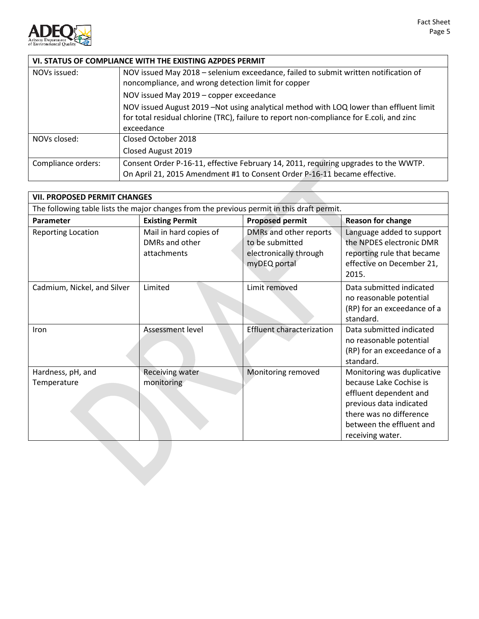

| VI. STATUS OF COMPLIANCE WITH THE EXISTING AZPDES PERMIT |                                                                                                                                                                                                   |  |  |  |  |  |
|----------------------------------------------------------|---------------------------------------------------------------------------------------------------------------------------------------------------------------------------------------------------|--|--|--|--|--|
| NOVs issued:                                             | NOV issued May 2018 - selenium exceedance, failed to submit written notification of<br>noncompliance, and wrong detection limit for copper                                                        |  |  |  |  |  |
|                                                          | NOV issued May 2019 - copper exceedance                                                                                                                                                           |  |  |  |  |  |
|                                                          | NOV issued August 2019 - Not using analytical method with LOQ lower than effluent limit<br>for total residual chlorine (TRC), failure to report non-compliance for E.coli, and zinc<br>exceedance |  |  |  |  |  |
| NOVs closed:                                             | Closed October 2018                                                                                                                                                                               |  |  |  |  |  |
|                                                          | Closed August 2019                                                                                                                                                                                |  |  |  |  |  |
| Compliance orders:                                       | Consent Order P-16-11, effective February 14, 2011, requiring upgrades to the WWTP.<br>On April 21, 2015 Amendment #1 to Consent Order P-16-11 became effective.                                  |  |  |  |  |  |

| <b>VII. PROPOSED PERMIT CHANGES</b>                                                        |                                                         |                                                                                     |                                                                                                                                                                                       |  |  |  |  |
|--------------------------------------------------------------------------------------------|---------------------------------------------------------|-------------------------------------------------------------------------------------|---------------------------------------------------------------------------------------------------------------------------------------------------------------------------------------|--|--|--|--|
| The following table lists the major changes from the previous permit in this draft permit. |                                                         |                                                                                     |                                                                                                                                                                                       |  |  |  |  |
| Parameter                                                                                  | <b>Existing Permit</b>                                  | <b>Proposed permit</b>                                                              | <b>Reason for change</b>                                                                                                                                                              |  |  |  |  |
| <b>Reporting Location</b>                                                                  | Mail in hard copies of<br>DMRs and other<br>attachments | DMRs and other reports<br>to be submitted<br>electronically through<br>myDEQ portal | Language added to support<br>the NPDES electronic DMR<br>reporting rule that became<br>effective on December 21,<br>2015.                                                             |  |  |  |  |
| Cadmium, Nickel, and Silver                                                                | Limited                                                 | Limit removed                                                                       | Data submitted indicated<br>no reasonable potential<br>(RP) for an exceedance of a<br>standard.                                                                                       |  |  |  |  |
| <b>Iron</b>                                                                                | Assessment level                                        | <b>Effluent characterization</b>                                                    | Data submitted indicated<br>no reasonable potential<br>(RP) for an exceedance of a<br>standard.                                                                                       |  |  |  |  |
| Hardness, pH, and<br>Temperature                                                           | Receiving water<br>monitoring                           | Monitoring removed                                                                  | Monitoring was duplicative<br>because Lake Cochise is<br>effluent dependent and<br>previous data indicated<br>there was no difference<br>between the effluent and<br>receiving water. |  |  |  |  |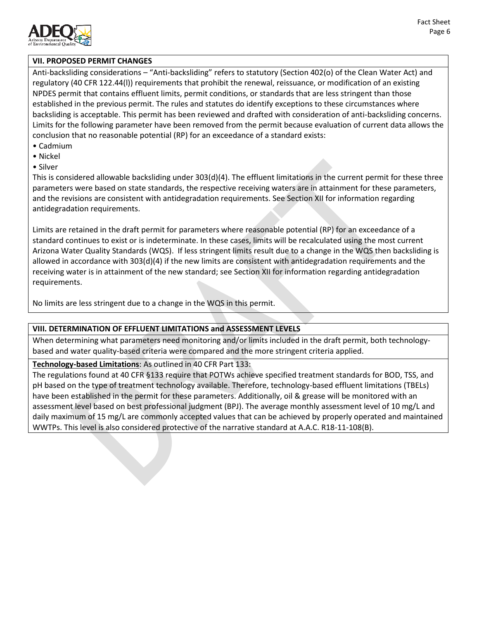

#### **VII. PROPOSED PERMIT CHANGES**

Anti-backsliding considerations – "Anti-backsliding" refers to statutory (Section 402(o) of the Clean Water Act) and regulatory (40 CFR 122.44(l)) requirements that prohibit the renewal, reissuance, or modification of an existing NPDES permit that contains effluent limits, permit conditions, or standards that are less stringent than those established in the previous permit. The rules and statutes do identify exceptions to these circumstances where backsliding is acceptable. This permit has been reviewed and drafted with consideration of anti-backsliding concerns. Limits for the following parameter have been removed from the permit because evaluation of current data allows the conclusion that no reasonable potential (RP) for an exceedance of a standard exists:

- Cadmium
- Nickel
- Silver

This is considered allowable backsliding under 303(d)(4). The effluent limitations in the current permit for these three parameters were based on state standards, the respective receiving waters are in attainment for these parameters, and the revisions are consistent with antidegradation requirements. See Section XII for information regarding antidegradation requirements.

Limits are retained in the draft permit for parameters where reasonable potential (RP) for an exceedance of a standard continues to exist or is indeterminate. In these cases, limits will be recalculated using the most current Arizona Water Quality Standards (WQS). If less stringent limits result due to a change in the WQS then backsliding is allowed in accordance with 303(d)(4) if the new limits are consistent with antidegradation requirements and the receiving water is in attainment of the new standard; see Section XII for information regarding antidegradation requirements.

No limits are less stringent due to a change in the WQS in this permit.

#### **VIII. DETERMINATION OF EFFLUENT LIMITATIONS and ASSESSMENT LEVELS**

When determining what parameters need monitoring and/or limits included in the draft permit, both technologybased and water quality-based criteria were compared and the more stringent criteria applied.

# **Technology-based Limitations**: As outlined in 40 CFR Part 133:

The regulations found at 40 CFR §133 require that POTWs achieve specified treatment standards for BOD, TSS, and pH based on the type of treatment technology available. Therefore, technology-based effluent limitations (TBELs) have been established in the permit for these parameters. Additionally, oil & grease will be monitored with an assessment level based on best professional judgment (BPJ). The average monthly assessment level of 10 mg/L and daily maximum of 15 mg/L are commonly accepted values that can be achieved by properly operated and maintained WWTPs. This level is also considered protective of the narrative standard at A.A.C. R18-11-108(B).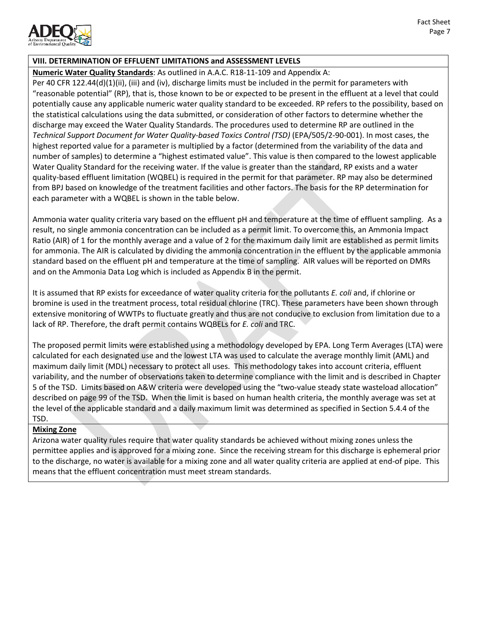

## **VIII. DETERMINATION OF EFFLUENT LIMITATIONS and ASSESSMENT LEVELS**

**Numeric Water Quality Standards**: As outlined in A.A.C. R18-11-109 and Appendix A:

Per 40 CFR 122.44(d)(1)(ii), (iii) and (iv), discharge limits must be included in the permit for parameters with "reasonable potential" (RP), that is, those known to be or expected to be present in the effluent at a level that could potentially cause any applicable numeric water quality standard to be exceeded. RP refers to the possibility, based on the statistical calculations using the data submitted, or consideration of other factors to determine whether the discharge may exceed the Water Quality Standards. The procedures used to determine RP are outlined in the *Technical Support Document for Water Quality-based Toxics Control (TSD)* (EPA/505/2-90-001). In most cases, the highest reported value for a parameter is multiplied by a factor (determined from the variability of the data and number of samples) to determine a "highest estimated value". This value is then compared to the lowest applicable Water Quality Standard for the receiving water. If the value is greater than the standard, RP exists and a water quality-based effluent limitation (WQBEL) is required in the permit for that parameter. RP may also be determined from BPJ based on knowledge of the treatment facilities and other factors. The basis for the RP determination for each parameter with a WQBEL is shown in the table below.

Ammonia water quality criteria vary based on the effluent pH and temperature at the time of effluent sampling. As a result, no single ammonia concentration can be included as a permit limit. To overcome this, an Ammonia Impact Ratio (AIR) of 1 for the monthly average and a value of 2 for the maximum daily limit are established as permit limits for ammonia. The AIR is calculated by dividing the ammonia concentration in the effluent by the applicable ammonia standard based on the effluent pH and temperature at the time of sampling. AIR values will be reported on DMRs and on the Ammonia Data Log which is included as Appendix B in the permit.

It is assumed that RP exists for exceedance of water quality criteria for the pollutants *E. coli* and, if chlorine or bromine is used in the treatment process, total residual chlorine (TRC). These parameters have been shown through extensive monitoring of WWTPs to fluctuate greatly and thus are not conducive to exclusion from limitation due to a lack of RP. Therefore, the draft permit contains WQBELs for *E. coli* and TRC.

The proposed permit limits were established using a methodology developed by EPA. Long Term Averages (LTA) were calculated for each designated use and the lowest LTA was used to calculate the average monthly limit (AML) and maximum daily limit (MDL) necessary to protect all uses. This methodology takes into account criteria, effluent variability, and the number of observations taken to determine compliance with the limit and is described in Chapter 5 of the TSD. Limits based on A&W criteria were developed using the "two-value steady state wasteload allocation" described on page 99 of the TSD. When the limit is based on human health criteria, the monthly average was set at the level of the applicable standard and a daily maximum limit was determined as specified in Section 5.4.4 of the TSD.

# **Mixing Zone**

Arizona water quality rules require that water quality standards be achieved without mixing zones unless the permittee applies and is approved for a mixing zone. Since the receiving stream for this discharge is ephemeral prior to the discharge, no water is available for a mixing zone and all water quality criteria are applied at end-of pipe. This means that the effluent concentration must meet stream standards.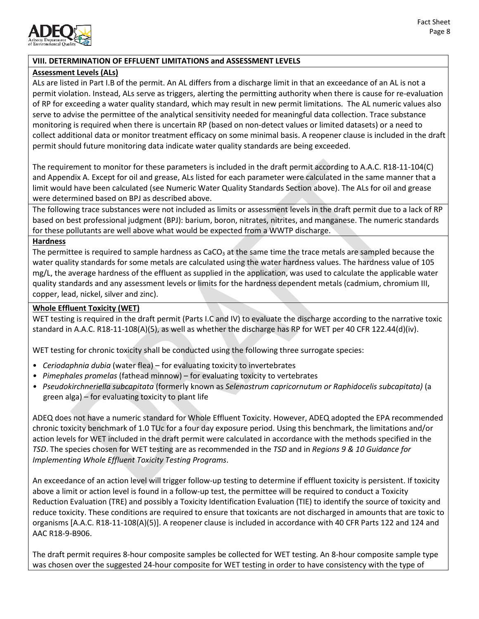

# **VIII. DETERMINATION OF EFFLUENT LIMITATIONS and ASSESSMENT LEVELS**

## **Assessment Levels (ALs)**

ALs are listed in Part I.B of the permit. An AL differs from a discharge limit in that an exceedance of an AL is not a permit violation. Instead, ALs serve as triggers, alerting the permitting authority when there is cause for re-evaluation of RP for exceeding a water quality standard, which may result in new permit limitations. The AL numeric values also serve to advise the permittee of the analytical sensitivity needed for meaningful data collection. Trace substance monitoring is required when there is uncertain RP (based on non-detect values or limited datasets) or a need to collect additional data or monitor treatment efficacy on some minimal basis. A reopener clause is included in the draft permit should future monitoring data indicate water quality standards are being exceeded.

The requirement to monitor for these parameters is included in the draft permit according to A.A.C. R18-11-104(C) and Appendix A. Except for oil and grease, ALs listed for each parameter were calculated in the same manner that a limit would have been calculated (see Numeric Water Quality Standards Section above). The ALs for oil and grease were determined based on BPJ as described above.

The following trace substances were not included as limits or assessment levels in the draft permit due to a lack of RP based on best professional judgment (BPJ): barium, boron, nitrates, nitrites, and manganese. The numeric standards for these pollutants are well above what would be expected from a WWTP discharge.

#### **Hardness**

The permittee is required to sample hardness as  $CaCO<sub>3</sub>$  at the same time the trace metals are sampled because the water quality standards for some metals are calculated using the water hardness values. The hardness value of 105 mg/L, the average hardness of the effluent as supplied in the application, was used to calculate the applicable water quality standards and any assessment levels or limits for the hardness dependent metals (cadmium, chromium III, copper, lead, nickel, silver and zinc).

#### **Whole Effluent Toxicity (WET)**

WET testing is required in the draft permit (Parts I.C and IV) to evaluate the discharge according to the narrative toxic standard in A.A.C. R18-11-108(A)(5), as well as whether the discharge has RP for WET per 40 CFR 122.44(d)(iv).

WET testing for chronic toxicity shall be conducted using the following three surrogate species:

- *Ceriodaphnia dubia* (water flea) for evaluating toxicity to invertebrates
- *Pimephales promelas* (fathead minnow) for evaluating toxicity to vertebrates
- *Pseudokirchneriella subcapitata* (formerly known as *Selenastrum capricornutum or Raphidocelis subcapitata)* (a green alga) – for evaluating toxicity to plant life

ADEQ does not have a numeric standard for Whole Effluent Toxicity. However, ADEQ adopted the EPA recommended chronic toxicity benchmark of 1.0 TUc for a four day exposure period. Using this benchmark, the limitations and/or action levels for WET included in the draft permit were calculated in accordance with the methods specified in the *TSD*. The species chosen for WET testing are as recommended in the *TSD* and in *Regions 9 & 10 Guidance for Implementing Whole Effluent Toxicity Testing Programs*.

An exceedance of an action level will trigger follow-up testing to determine if effluent toxicity is persistent. If toxicity above a limit or action level is found in a follow-up test, the permittee will be required to conduct a Toxicity Reduction Evaluation (TRE) and possibly a Toxicity Identification Evaluation (TIE) to identify the source of toxicity and reduce toxicity. These conditions are required to ensure that toxicants are not discharged in amounts that are toxic to organisms [A.A.C. R18-11-108(A)(5)]. A reopener clause is included in accordance with 40 CFR Parts 122 and 124 and AAC R18-9-B906.

The draft permit requires 8-hour composite samples be collected for WET testing. An 8-hour composite sample type was chosen over the suggested 24-hour composite for WET testing in order to have consistency with the type of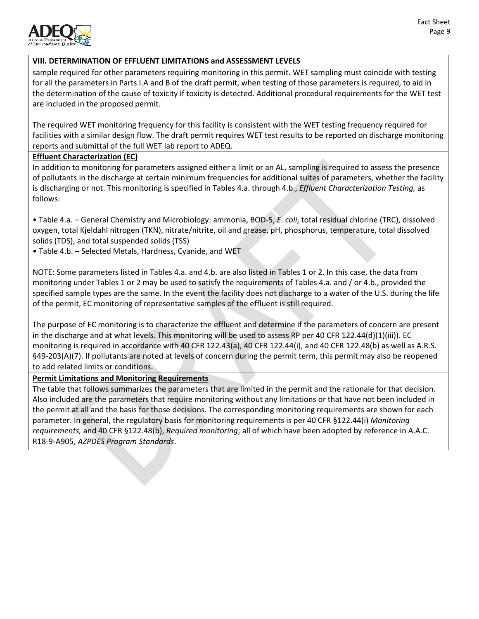

# **VIII. DETERMINATION OF EFFLUENT LIMITATIONS and ASSESSMENT LEVELS**

sample required for other parameters requiring monitoring in this permit. WET sampling must coincide with testing for all the parameters in Parts I.A and B of the draft permit, when testing of those parameters is required, to aid in the determination of the cause of toxicity if toxicity is detected. Additional procedural requirements for the WET test are included in the proposed permit.

The required WET monitoring frequency for this facility is consistent with the WET testing frequency required for facilities with a similar design flow. The draft permit requires WET test results to be reported on discharge monitoring reports and submittal of the full WET lab report to ADEQ.

## **Effluent Characterization (EC)**

In addition to monitoring for parameters assigned either a limit or an AL, sampling is required to assess the presence of pollutants in the discharge at certain minimum frequencies for additional suites of parameters, whether the facility is discharging or not. This monitoring is specified in Tables 4.a. through 4.b., *Effluent Characterization Testing,* as follows:

• Table 4.a. – General Chemistry and Microbiology: ammonia, BOD-5, *E. coli*, total residual chlorine (TRC), dissolved oxygen, total Kjeldahl nitrogen (TKN), nitrate/nitrite, oil and grease, pH, phosphorus, temperature, total dissolved solids (TDS), and total suspended solids (TSS)

• Table 4.b. – Selected Metals, Hardness, Cyanide, and WET

NOTE: Some parameters listed in Tables 4.a. and 4.b. are also listed in Tables 1 or 2. In this case, the data from monitoring under Tables 1 or 2 may be used to satisfy the requirements of Tables 4.a. and / or 4.b., provided the specified sample types are the same. In the event the facility does not discharge to a water of the U.S. during the life of the permit, EC monitoring of representative samples of the effluent is still required.

The purpose of EC monitoring is to characterize the effluent and determine if the parameters of concern are present in the discharge and at what levels. This monitoring will be used to assess RP per 40 CFR 122.44(d)(1)(iii)). EC monitoring is required in accordance with 40 CFR 122.43(a), 40 CFR 122.44(i), and 40 CFR 122.48(b) as well as A.R.S. §49-203(A)(7). If pollutants are noted at levels of concern during the permit term, this permit may also be reopened to add related limits or conditions.

# **Permit Limitations and Monitoring Requirements**

The table that follows summarizes the parameters that are limited in the permit and the rationale for that decision. Also included are the parameters that require monitoring without any limitations or that have not been included in the permit at all and the basis for those decisions. The corresponding monitoring requirements are shown for each parameter. In general, the regulatory basis for monitoring requirements is per 40 CFR §122.44(i) *Monitoring requirements,* and 40 CFR §122.48(b), *Required monitoring*; all of which have been adopted by reference in A.A.C. R18-9-A905, *AZPDES Program Standards*.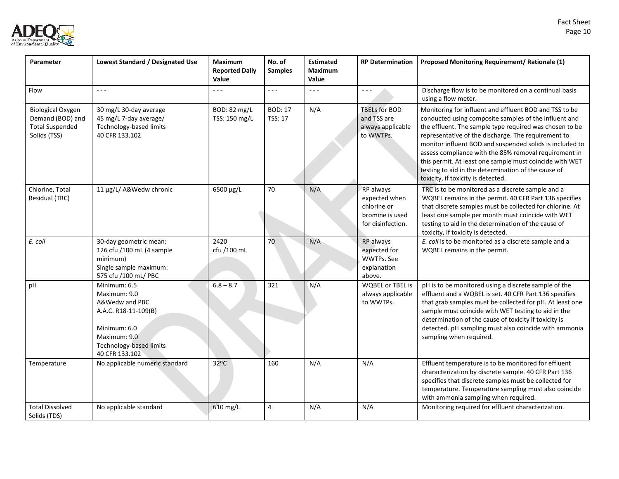

| Parameter                                                                              | Lowest Standard / Designated Use                                                                                                                    | <b>Maximum</b><br><b>Reported Daily</b><br>Value | No. of<br><b>Samples</b>         | <b>Estimated</b><br><b>Maximum</b><br>Value | <b>RP Determination</b>                                                           | Proposed Monitoring Requirement/ Rationale (1)                                                                                                                                                                                                                                                                                                                                                                                                                                                                 |
|----------------------------------------------------------------------------------------|-----------------------------------------------------------------------------------------------------------------------------------------------------|--------------------------------------------------|----------------------------------|---------------------------------------------|-----------------------------------------------------------------------------------|----------------------------------------------------------------------------------------------------------------------------------------------------------------------------------------------------------------------------------------------------------------------------------------------------------------------------------------------------------------------------------------------------------------------------------------------------------------------------------------------------------------|
| Flow                                                                                   | $\sim$ $\sim$ $\sim$                                                                                                                                | - - -                                            | $- - -$                          | $\sim$ $\sim$ $\sim$                        | $\omega = \omega$                                                                 | Discharge flow is to be monitored on a continual basis<br>using a flow meter.                                                                                                                                                                                                                                                                                                                                                                                                                                  |
| <b>Biological Oxygen</b><br>Demand (BOD) and<br><b>Total Suspended</b><br>Solids (TSS) | 30 mg/L 30-day average<br>45 mg/L 7-day average/<br>Technology-based limits<br>40 CFR 133.102                                                       | BOD: 82 mg/L<br>TSS: 150 mg/L                    | <b>BOD: 17</b><br><b>TSS: 17</b> | N/A                                         | <b>TBELs for BOD</b><br>and TSS are<br>always applicable<br>to WWTPs.             | Monitoring for influent and effluent BOD and TSS to be<br>conducted using composite samples of the influent and<br>the effluent. The sample type required was chosen to be<br>representative of the discharge. The requirement to<br>monitor influent BOD and suspended solids is included to<br>assess compliance with the 85% removal requirement in<br>this permit. At least one sample must coincide with WET<br>testing to aid in the determination of the cause of<br>toxicity, if toxicity is detected. |
| Chlorine, Total<br>Residual (TRC)                                                      | 11 µg/L/ A&Wedw chronic                                                                                                                             | 6500 µg/L                                        | 70                               | N/A                                         | RP always<br>expected when<br>chlorine or<br>bromine is used<br>for disinfection. | TRC is to be monitored as a discrete sample and a<br>WQBEL remains in the permit. 40 CFR Part 136 specifies<br>that discrete samples must be collected for chlorine. At<br>least one sample per month must coincide with WET<br>testing to aid in the determination of the cause of<br>toxicity, if toxicity is detected.                                                                                                                                                                                      |
| E. coli                                                                                | 30-day geometric mean:<br>126 cfu /100 mL (4 sample<br>minimum)<br>Single sample maximum:<br>575 cfu /100 mL/ PBC                                   | 2420<br>cfu /100 mL                              | 70                               | N/A                                         | RP always<br>expected for<br>WWTPs. See<br>explanation<br>above.                  | E. coli is to be monitored as a discrete sample and a<br>WQBEL remains in the permit.                                                                                                                                                                                                                                                                                                                                                                                                                          |
| рH                                                                                     | Minimum: 6.5<br>Maximum: 9.0<br>A&Wedw and PBC<br>A.A.C. R18-11-109(B)<br>Minimum: 6.0<br>Maximum: 9.0<br>Technology-based limits<br>40 CFR 133.102 | $6.8 - 8.7$                                      | 321                              | N/A                                         | <b>WQBEL or TBEL is</b><br>always applicable<br>to WWTPs.                         | pH is to be monitored using a discrete sample of the<br>effluent and a WQBEL is set. 40 CFR Part 136 specifies<br>that grab samples must be collected for pH. At least one<br>sample must coincide with WET testing to aid in the<br>determination of the cause of toxicity if toxicity is<br>detected. pH sampling must also coincide with ammonia<br>sampling when required.                                                                                                                                 |
| Temperature                                                                            | No applicable numeric standard                                                                                                                      | 32ºC                                             | 160                              | N/A                                         | N/A                                                                               | Effluent temperature is to be monitored for effluent<br>characterization by discrete sample. 40 CFR Part 136<br>specifies that discrete samples must be collected for<br>temperature. Temperature sampling must also coincide<br>with ammonia sampling when required.                                                                                                                                                                                                                                          |
| <b>Total Dissolved</b><br>Solids (TDS)                                                 | No applicable standard                                                                                                                              | 610 mg/L                                         | 4                                | N/A                                         | N/A                                                                               | Monitoring required for effluent characterization.                                                                                                                                                                                                                                                                                                                                                                                                                                                             |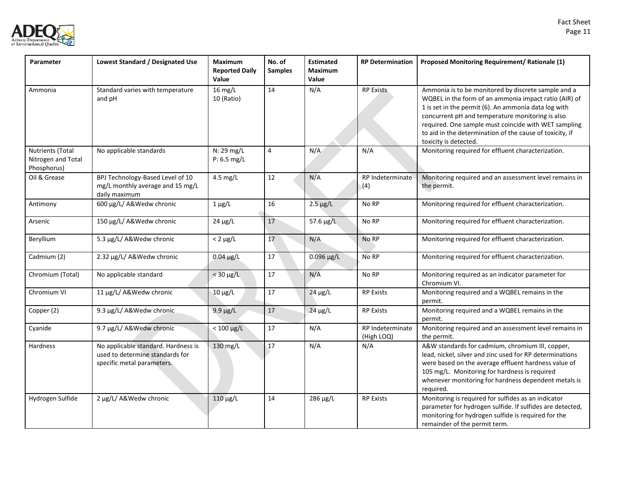

| Parameter                                                    | Lowest Standard / Designated Use                                                                     | <b>Maximum</b><br><b>Reported Daily</b><br>Value | No. of<br><b>Samples</b> | <b>Estimated</b><br><b>Maximum</b><br>Value | <b>RP Determination</b>        | Proposed Monitoring Requirement/ Rationale (1)                                                                                                                                                                                                                                                                                                                        |
|--------------------------------------------------------------|------------------------------------------------------------------------------------------------------|--------------------------------------------------|--------------------------|---------------------------------------------|--------------------------------|-----------------------------------------------------------------------------------------------------------------------------------------------------------------------------------------------------------------------------------------------------------------------------------------------------------------------------------------------------------------------|
| Ammonia                                                      | Standard varies with temperature<br>and pH                                                           | $16$ mg/L<br>10 (Ratio)                          | 14                       | N/A                                         | <b>RP Exists</b>               | Ammonia is to be monitored by discrete sample and a<br>WQBEL in the form of an ammonia impact ratio (AIR) of<br>1 is set in the permit (6). An ammonia data log with<br>concurrent pH and temperature monitoring is also<br>required. One sample must coincide with WET sampling<br>to aid in the determination of the cause of toxicity, if<br>toxicity is detected. |
| <b>Nutrients (Total</b><br>Nitrogen and Total<br>Phosphorus) | No applicable standards                                                                              | N: 29 mg/L<br>P: 6.5 mg/L                        | $\overline{4}$           | N/A                                         | N/A                            | Monitoring required for effluent characterization.                                                                                                                                                                                                                                                                                                                    |
| Oil & Grease                                                 | BPJ Technology-Based Level of 10<br>mg/L monthly average and 15 mg/L<br>daily maximum                | 4.5 mg/L                                         | 12                       | N/A                                         | RP Indeterminate<br>(4)        | Monitoring required and an assessment level remains in<br>the permit.                                                                                                                                                                                                                                                                                                 |
| Antimony                                                     | 600 µg/L/ A&Wedw chronic                                                                             | $1 \mu g/L$                                      | 16                       | $2.5 \mu g/L$                               | No RP                          | Monitoring required for effluent characterization.                                                                                                                                                                                                                                                                                                                    |
| Arsenic                                                      | 150 µg/L/ A&Wedw chronic                                                                             | $24 \mu g/L$                                     | 17                       | 57.6 µg/L                                   | No RP                          | Monitoring required for effluent characterization.                                                                                                                                                                                                                                                                                                                    |
| Beryllium                                                    | 5.3 µg/L/ A&Wedw chronic                                                                             | $< 2 \mu g/L$                                    | 17                       | N/A                                         | No RP                          | Monitoring required for effluent characterization.                                                                                                                                                                                                                                                                                                                    |
| Cadmium (2)                                                  | 2.32 µg/L/ A&Wedw chronic                                                                            | $0.04 \mu g/L$                                   | 17                       | $0.096 \,\mu g/L$                           | No RP                          | Monitoring required for effluent characterization.                                                                                                                                                                                                                                                                                                                    |
| Chromium (Total)                                             | No applicable standard                                                                               | $<$ 30 $\mu$ g/L                                 | 17                       | N/A                                         | No RP                          | Monitoring required as an indicator parameter for<br>Chromium VI.                                                                                                                                                                                                                                                                                                     |
| Chromium VI                                                  | 11 µg/L/ A&Wedw chronic                                                                              | $10 \mu g/L$                                     | $17\,$                   | $24 \mu g/L$                                | <b>RP Exists</b>               | Monitoring required and a WQBEL remains in the<br>permit.                                                                                                                                                                                                                                                                                                             |
| Copper (2)                                                   | 9.3 µg/L/ A&Wedw chronic                                                                             | $9.9 \mu g/L$                                    | $17$                     | $24 \mu g/L$                                | <b>RP Exists</b>               | Monitoring required and a WQBEL remains in the<br>permit.                                                                                                                                                                                                                                                                                                             |
| Cyanide                                                      | 9.7 µg/L/ A&Wedw chronic                                                                             | $< 100 \mu g/L$                                  | 17                       | N/A                                         | RP Indeterminate<br>(High LOQ) | Monitoring required and an assessment level remains in<br>the permit.                                                                                                                                                                                                                                                                                                 |
| Hardness                                                     | No applicable standard. Hardness is<br>used to determine standards for<br>specific metal parameters. | 130 mg/L                                         | 17                       | N/A                                         | N/A                            | A&W standards for cadmium, chromium III, copper,<br>lead, nickel, silver and zinc used for RP determinations<br>were based on the average effluent hardness value of<br>105 mg/L. Monitoring for hardness is required<br>whenever monitoring for hardness dependent metals is<br>required.                                                                            |
| Hydrogen Sulfide                                             | 2 µg/L/ A&Wedw chronic                                                                               | $110 \mu g/L$                                    | 14                       | 286 µg/L                                    | <b>RP Exists</b>               | Monitoring is required for sulfides as an indicator<br>parameter for hydrogen sulfide. If sulfides are detected,<br>monitoring for hydrogen sulfide is required for the<br>remainder of the permit term.                                                                                                                                                              |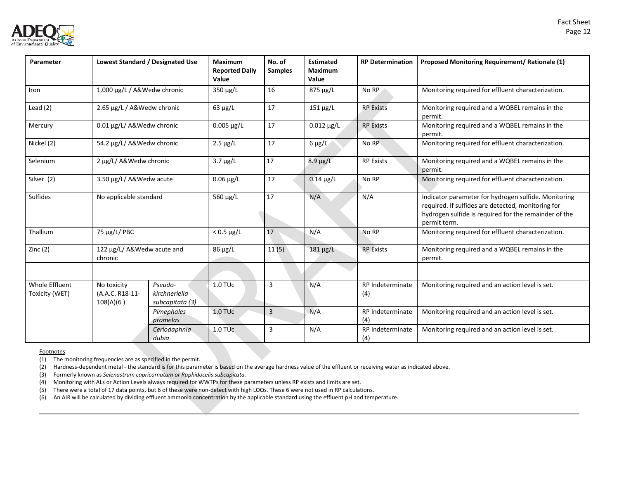

| Parameter                               |                                             | Lowest Standard / Designated Use            | <b>Maximum</b><br><b>Reported Daily</b><br>Value | No. of<br><b>Samples</b> | <b>Estimated</b><br><b>Maximum</b><br>Value | <b>RP Determination</b> | Proposed Monitoring Requirement/ Rationale (1)                                                                                                                                      |
|-----------------------------------------|---------------------------------------------|---------------------------------------------|--------------------------------------------------|--------------------------|---------------------------------------------|-------------------------|-------------------------------------------------------------------------------------------------------------------------------------------------------------------------------------|
| Iron                                    | 1,000 µg/L / A&Wedw chronic                 |                                             | 350 µg/L                                         | 16                       | 875 µg/L                                    | No RP                   | Monitoring required for effluent characterization.                                                                                                                                  |
| Lead $(2)$                              | 2.65 µg/L / A&Wedw chronic                  |                                             | $63 \mu g/L$                                     | 17                       | $151 \mu g/L$                               | <b>RP Exists</b>        | Monitoring required and a WQBEL remains in the<br>permit.                                                                                                                           |
| Mercury                                 | 0.01 µg/L/ A&Wedw chronic                   |                                             | $0.005 \,\mu g/L$                                | 17                       | $0.012 \,\mu g/L$                           | <b>RP Exists</b>        | Monitoring required and a WQBEL remains in the<br>permit.                                                                                                                           |
| Nickel (2)                              | 54.2 µg/L/ A&Wedw chronic                   |                                             | $2.5 \mu g/L$                                    | 17                       | $6 \mu g/L$                                 | No RP                   | Monitoring required for effluent characterization.                                                                                                                                  |
| Selenium                                | 2 µg/L/ A&Wedw chronic                      |                                             | $3.7 \mu g/L$                                    | 17                       | $8.9 \mu g/L$                               | <b>RP Exists</b>        | Monitoring required and a WQBEL remains in the<br>permit.                                                                                                                           |
| Silver (2)                              | 3.50 µg/L/ A&Wedw acute                     |                                             | $0.06 \mu g/L$                                   | 17                       | $0.14 \mu g/L$                              | No RP                   | Monitoring required for effluent characterization.                                                                                                                                  |
| Sulfides                                | No applicable standard                      |                                             | 560 µg/L                                         | 17                       | N/A                                         | N/A                     | Indicator parameter for hydrogen sulfide. Monitoring<br>required. If sulfides are detected, monitoring for<br>hydrogen sulfide is required for the remainder of the<br>permit term. |
| Thallium                                | 75 µg/L/ PBC                                |                                             | $< 0.5 \mu g/L$                                  | 17                       | N/A                                         | No RP                   | Monitoring required for effluent characterization.                                                                                                                                  |
| Zinc $(2)$                              | 122 µg/L/ A&Wedw acute and<br>chronic       |                                             | 86 μg/L                                          | 11(5)                    | $181 \mu g/L$                               | <b>RP Exists</b>        | Monitoring required and a WQBEL remains in the<br>permit.                                                                                                                           |
|                                         |                                             |                                             |                                                  |                          |                                             |                         |                                                                                                                                                                                     |
| <b>Whole Effluent</b><br>Toxicity (WET) | No toxicity<br>(A.A.C. R18-11-<br>108(A)(6) | Pseudo-<br>kirchneriella<br>subcapitata (3) | $1.0$ TU $c$                                     | 3                        | N/A                                         | RP Indeterminate<br>(4) | Monitoring required and an action level is set.                                                                                                                                     |
|                                         |                                             | Pimephales<br>promelas                      | <b>1.0 TUc</b>                                   | $\overline{3}$           | N/A                                         | RP Indeterminate<br>(4) | Monitoring required and an action level is set.                                                                                                                                     |
|                                         |                                             | Ceriodaphnia<br>dubia                       | $1.0$ TU $c$                                     | 3                        | N/A                                         | RP Indeterminate<br>(4) | Monitoring required and an action level is set.                                                                                                                                     |

Footnotes:

(1) The monitoring frequencies are as specified in the permit.

(2) Hardness-dependent metal - the standard is for this parameter is based on the average hardness value of the effluent or receiving water as indicated above.

(3) Formerly known as *Selenastrum capricornutum or Raphidocelis subcapitata.*

(4) Monitoring with ALs or Action Levels always required for WWTPs for these parameters unless RP exists and limits are set.

(5) There were a total of 17 data points, but 6 of these were non-detect with high LOQs. These 6 were not used in RP calculations.

(6) An AIR will be calculated by dividing effluent ammonia concentration by the applicable standard using the effluent pH and temperature.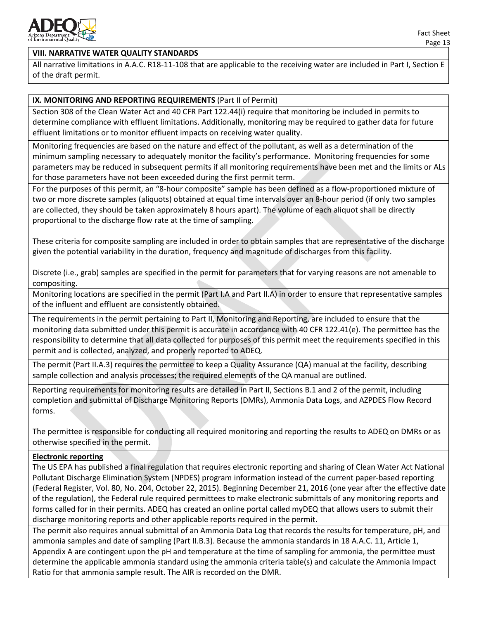

#### **VIII. NARRATIVE WATER QUALITY STANDARDS**

All narrative limitations in A.A.C. R18-11-108 that are applicable to the receiving water are included in Part I, Section E of the draft permit.

#### **IX. MONITORING AND REPORTING REQUIREMENTS** (Part II of Permit)

Section 308 of the Clean Water Act and 40 CFR Part 122.44(i) require that monitoring be included in permits to determine compliance with effluent limitations. Additionally, monitoring may be required to gather data for future effluent limitations or to monitor effluent impacts on receiving water quality.

Monitoring frequencies are based on the nature and effect of the pollutant, as well as a determination of the minimum sampling necessary to adequately monitor the facility's performance. Monitoring frequencies for some parameters may be reduced in subsequent permits if all monitoring requirements have been met and the limits or ALs for those parameters have not been exceeded during the first permit term.

For the purposes of this permit, an "8-hour composite" sample has been defined as a flow-proportioned mixture of two or more discrete samples (aliquots) obtained at equal time intervals over an 8-hour period (if only two samples are collected, they should be taken approximately 8 hours apart). The volume of each aliquot shall be directly proportional to the discharge flow rate at the time of sampling.

These criteria for composite sampling are included in order to obtain samples that are representative of the discharge given the potential variability in the duration, frequency and magnitude of discharges from this facility.

Discrete (i.e., grab) samples are specified in the permit for parameters that for varying reasons are not amenable to compositing.

Monitoring locations are specified in the permit (Part I.A and Part II.A) in order to ensure that representative samples of the influent and effluent are consistently obtained.

The requirements in the permit pertaining to Part II, Monitoring and Reporting, are included to ensure that the monitoring data submitted under this permit is accurate in accordance with 40 CFR 122.41(e). The permittee has the responsibility to determine that all data collected for purposes of this permit meet the requirements specified in this permit and is collected, analyzed, and properly reported to ADEQ.

The permit (Part II.A.3) requires the permittee to keep a Quality Assurance (QA) manual at the facility, describing sample collection and analysis processes; the required elements of the QA manual are outlined.

Reporting requirements for monitoring results are detailed in Part II, Sections B.1 and 2 of the permit, including completion and submittal of Discharge Monitoring Reports (DMRs), Ammonia Data Logs, and AZPDES Flow Record forms.

The permittee is responsible for conducting all required monitoring and reporting the results to ADEQ on DMRs or as otherwise specified in the permit.

#### **Electronic reporting**

The US EPA has published a final regulation that requires electronic reporting and sharing of Clean Water Act National Pollutant Discharge Elimination System (NPDES) program information instead of the current paper-based reporting (Federal Register, Vol. 80, No. 204, October 22, 2015). Beginning December 21, 2016 (one year after the effective date of the regulation), the Federal rule required permittees to make electronic submittals of any monitoring reports and forms called for in their permits. ADEQ has created an online portal called myDEQ that allows users to submit their discharge monitoring reports and other applicable reports required in the permit.

The permit also requires annual submittal of an Ammonia Data Log that records the results for temperature, pH, and ammonia samples and date of sampling (Part II.B.3). Because the ammonia standards in 18 A.A.C. 11, Article 1, Appendix A are contingent upon the pH and temperature at the time of sampling for ammonia, the permittee must determine the applicable ammonia standard using the ammonia criteria table(s) and calculate the Ammonia Impact Ratio for that ammonia sample result. The AIR is recorded on the DMR.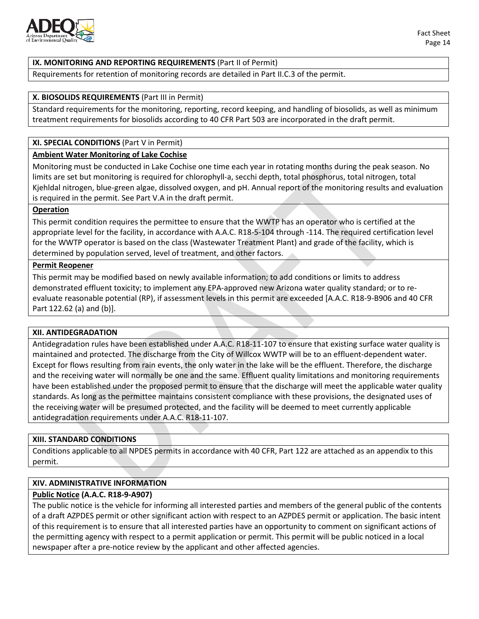

Requirements for retention of monitoring records are detailed in Part II.C.3 of the permit.

#### **X. BIOSOLIDS REQUIREMENTS** (Part III in Permit)

Standard requirements for the monitoring, reporting, record keeping, and handling of biosolids, as well as minimum treatment requirements for biosolids according to 40 CFR Part 503 are incorporated in the draft permit.

# **XI. SPECIAL CONDITIONS** (Part V in Permit)

#### **Ambient Water Monitoring of Lake Cochise**

Monitoring must be conducted in Lake Cochise one time each year in rotating months during the peak season. No limits are set but monitoring is required for chlorophyll-a, secchi depth, total phosphorus, total nitrogen, total Kjehldal nitrogen, blue-green algae, dissolved oxygen, and pH. Annual report of the monitoring results and evaluation is required in the permit. See Part V.A in the draft permit.

#### **Operation**

This permit condition requires the permittee to ensure that the WWTP has an operator who is certified at the appropriate level for the facility, in accordance with A.A.C. R18-5-104 through -114. The required certification level for the WWTP operator is based on the class (Wastewater Treatment Plant) and grade of the facility, which is determined by population served, level of treatment, and other factors.

#### **Permit Reopener**

This permit may be modified based on newly available information; to add conditions or limits to address demonstrated effluent toxicity; to implement any EPA-approved new Arizona water quality standard; or to reevaluate reasonable potential (RP), if assessment levels in this permit are exceeded [A.A.C. R18-9-B906 and 40 CFR Part 122.62 (a) and (b)].

#### **XII. ANTIDEGRADATION**

Antidegradation rules have been established under A.A.C. R18-11-107 to ensure that existing surface water quality is maintained and protected. The discharge from the City of Willcox WWTP will be to an effluent-dependent water. Except for flows resulting from rain events, the only water in the lake will be the effluent. Therefore, the discharge and the receiving water will normally be one and the same. Effluent quality limitations and monitoring requirements have been established under the proposed permit to ensure that the discharge will meet the applicable water quality standards. As long as the permittee maintains consistent compliance with these provisions, the designated uses of the receiving water will be presumed protected, and the facility will be deemed to meet currently applicable antidegradation requirements under A.A.C. R18-11-107.

#### **XIII. STANDARD CONDITIONS**

Conditions applicable to all NPDES permits in accordance with 40 CFR, Part 122 are attached as an appendix to this permit.

#### **XIV. ADMINISTRATIVE INFORMATION**

#### **Public Notice (A.A.C. R18-9-A907)**

The public notice is the vehicle for informing all interested parties and members of the general public of the contents of a draft AZPDES permit or other significant action with respect to an AZPDES permit or application. The basic intent of this requirement is to ensure that all interested parties have an opportunity to comment on significant actions of the permitting agency with respect to a permit application or permit. This permit will be public noticed in a local newspaper after a pre-notice review by the applicant and other affected agencies.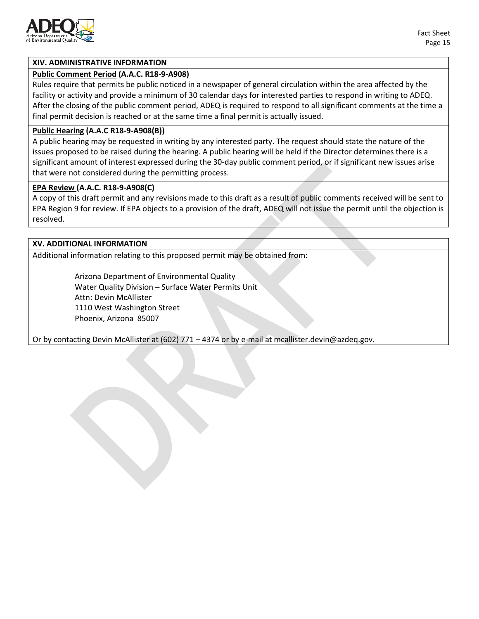

#### **XIV. ADMINISTRATIVE INFORMATION**

#### **Public Comment Period (A.A.C. R18-9-A908)**

Rules require that permits be public noticed in a newspaper of general circulation within the area affected by the facility or activity and provide a minimum of 30 calendar days for interested parties to respond in writing to ADEQ. After the closing of the public comment period, ADEQ is required to respond to all significant comments at the time a final permit decision is reached or at the same time a final permit is actually issued.

#### **Public Hearing (A.A.C R18-9-A908(B))**

A public hearing may be requested in writing by any interested party. The request should state the nature of the issues proposed to be raised during the hearing. A public hearing will be held if the Director determines there is a significant amount of interest expressed during the 30-day public comment period, or if significant new issues arise that were not considered during the permitting process.

#### **EPA Review (A.A.C. R18-9-A908(C)**

A copy of this draft permit and any revisions made to this draft as a result of public comments received will be sent to EPA Region 9 for review. If EPA objects to a provision of the draft, ADEQ will not issue the permit until the objection is resolved.

#### **XV. ADDITIONAL INFORMATION**

Additional information relating to this proposed permit may be obtained from:

Arizona Department of Environmental Quality Water Quality Division – Surface Water Permits Unit Attn: Devin McAllister 1110 West Washington Street Phoenix, Arizona 85007

Or by contacting Devin McAllister at (602) 771 – 4374 or by e-mail at [mcallister.devin@azdeq.gov.](mailto:mcallister.devin@azdeq.gov)